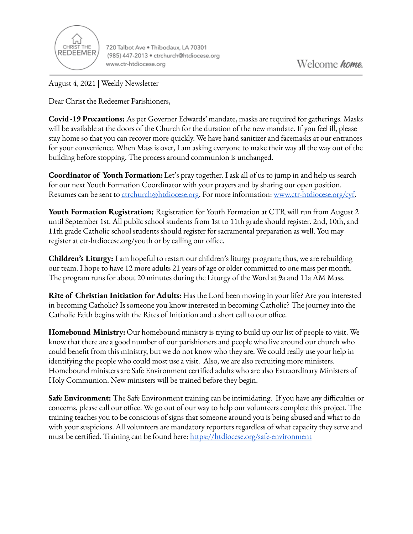

720 Talbot Ave . Thibodaux, LA 70301 (985) 447-2013 · ctrchurch@htdiocese.org www.ctr-htdiocese.org

August 4, 2021 | Weekly Newsletter

Dear Christ the Redeemer Parishioners,

**Covid-19 Precautions:** As per Governer Edwards' mandate, masks are required for gatherings. Masks will be available at the doors of the Church for the duration of the new mandate. If you feel ill, please stay home so that you can recover more quickly. We have hand sanitizer and facemasks at our entrances for your convenience. When Mass is over, I am asking everyone to make their way all the way out of the building before stopping. The process around communion is unchanged.

**Coordinator of Youth Formation:**Let's pray together. I ask all of us to jump in and help us search for our next Youth Formation Coordinator with your prayers and by sharing our open position. Resumes can be sent to [ctrchurch@htdiocese.org.](mailto:ctrchurch@htdiocese.org) For more information: [www.ctr-htdiocese.org/cyf.](http://www.ctr-htdiocese.org/cyf)

**Youth Formation Registration:** Registration for Youth Formation at CTR will run from August 2 until September 1st. All public school students from 1st to 11th grade should register. 2nd, 10th, and 11th grade Catholic school students should register for sacramental preparation as well. You may register at ctr-htdiocese.org/youth or by calling our office.

**Children's Liturgy:** I am hopeful to restart our children's liturgy program; thus, we are rebuilding our team. I hope to have 12 more adults 21 years of age or older committed to one mass per month. The program runs for about 20 minutes during the Liturgy of the Word at 9a and 11a AM Mass.

**Rite of Christian Initiation for Adults:** Has the Lord been moving in your life? Are you interested in becoming Catholic? Is someone you know interested in becoming Catholic? The journey into the Catholic Faith begins with the Rites of Initiation and a short call to our office.

**Homebound Ministry:** Our homebound ministry is trying to build up our list of people to visit. We know that there are a good number of our parishioners and people who live around our church who could benefit from this ministry, but we do not know who they are. We could really use your help in identifying the people who could most use a visit. Also, we are also recruiting more ministers. Homebound ministers are Safe Environment certified adults who are also Extraordinary Ministers of Holy Communion. New ministers will be trained before they begin.

**Safe Environment:** The Safe Environment training can be intimidating. If you have any difficulties or concerns, please call our office. We go out of our way to help our volunteers complete this project. The training teaches you to be conscious of signs that someone around you is being abused and what to do with your suspicions. All volunteers are mandatory reporters regardless of what capacity they serve and must be certified. Training can be found here: <https://htdiocese.org/safe-environment>